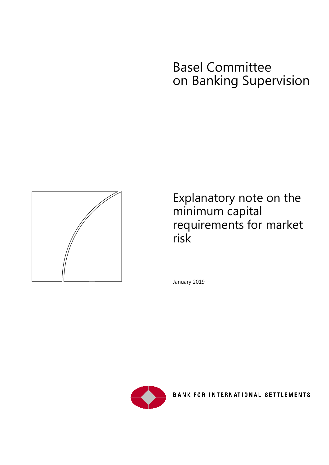# Basel Committee on Banking Supervision



Explanatory note on the minimum capital requirements for market risk

January 2019



**BANK FOR INTERNATIONAL SETTLEMENTS**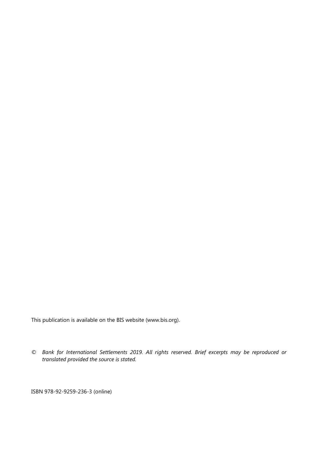This publication is available on the BIS website [\(www.bis.org\)](http://www.bis.org/).

*© Bank for International Settlements 2019. All rights reserved. Brief excerpts may be reproduced or translated provided the source is stated.*

ISBN 978-92-9259-236-3 (online)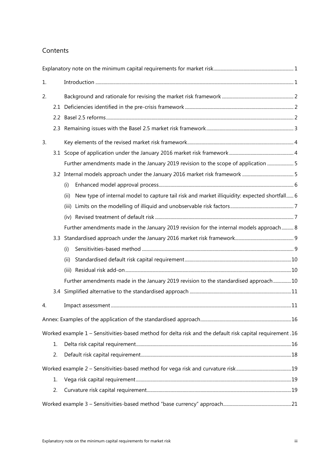#### Contents

| 1. |    |                                                                                                           |  |
|----|----|-----------------------------------------------------------------------------------------------------------|--|
| 2. |    |                                                                                                           |  |
|    |    |                                                                                                           |  |
|    |    |                                                                                                           |  |
|    |    |                                                                                                           |  |
| 3. |    |                                                                                                           |  |
|    |    |                                                                                                           |  |
|    |    | Further amendments made in the January 2019 revision to the scope of application  5                       |  |
|    |    |                                                                                                           |  |
|    |    | (i)                                                                                                       |  |
|    |    | New type of internal model to capture tail risk and market illiquidity: expected shortfall 6<br>(ii)      |  |
|    |    | (iii)                                                                                                     |  |
|    |    |                                                                                                           |  |
|    |    | Further amendments made in the January 2019 revision for the internal models approach 8                   |  |
|    |    |                                                                                                           |  |
|    |    | (i)                                                                                                       |  |
|    |    | (ii)                                                                                                      |  |
|    |    |                                                                                                           |  |
|    |    | Further amendments made in the January 2019 revision to the standardised approach10                       |  |
|    |    |                                                                                                           |  |
| 4. |    |                                                                                                           |  |
|    |    |                                                                                                           |  |
|    |    | Worked example 1 - Sensitivities-based method for delta risk and the default risk capital requirement. 16 |  |
|    | 1. |                                                                                                           |  |
|    | 2. |                                                                                                           |  |
|    |    |                                                                                                           |  |
|    | 1. |                                                                                                           |  |
|    | 2. |                                                                                                           |  |
|    |    |                                                                                                           |  |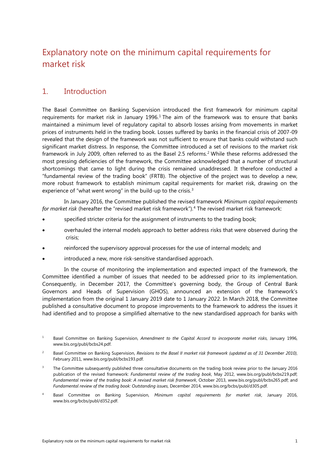# <span id="page-4-0"></span>Explanatory note on the minimum capital requirements for market risk

### <span id="page-4-1"></span>1. Introduction

The Basel Committee on Banking Supervision introduced the first framework for minimum capital requirements for market risk in January [1](#page-4-2)996.<sup>1</sup> The aim of the framework was to ensure that banks maintained a minimum level of regulatory capital to absorb losses arising from movements in market prices of instruments held in the trading book. Losses suffered by banks in the financial crisis of 2007-09 revealed that the design of the framework was not sufficient to ensure that banks could withstand such significant market distress. In response, the Committee introduced a set of revisions to the market risk framework in July 2009, often referred to as the Basel 2.5 reforms. [2](#page-4-3) While these reforms addressed the most pressing deficiencies of the framework, the Committee acknowledged that a number of structural shortcomings that came to light during the crisis remained unaddressed. It therefore conducted a "fundamental review of the trading book" (FRTB). The objective of the project was to develop a new, more robust framework to establish minimum capital requirements for market risk, drawing on the experience of "what went wrong" in the build-up to the crisis.<sup>[3](#page-4-4)</sup>

In January 2016, the Committee published the revised framework *Minimum capital requirements for market risk* (hereafter the "revised market risk framework"). [4](#page-4-5) The revised market risk framework:

- specified stricter criteria for the assignment of instruments to the trading book;
- overhauled the internal models approach to better address risks that were observed during the crisis;
- reinforced the supervisory approval processes for the use of internal models; and
- introduced a new, more risk-sensitive standardised approach.

In the course of monitoring the implementation and expected impact of the framework, the Committee identified a number of issues that needed to be addressed prior to its implementation. Consequently, in December 2017, the Committee's governing body, the Group of Central Bank Governors and Heads of Supervision (GHOS), announced an extension of the framework's implementation from the original 1 January 2019 date to 1 January 2022. In March 2018, the Committee published a consultative document to propose improvements to the framework to address the issues it had identified and to propose a simplified alternative to the new standardised approach for banks with

<span id="page-4-2"></span><sup>1</sup> Basel Committee on Banking Supervision, *Amendment to the Capital Accord to incorporate market risks*, January 1996, [www.bis.org/publ/bcbs24.pdf.](https://www.bis.org/publ/bcbs24.pdf)

<span id="page-4-3"></span><sup>2</sup> Basel Committee on Banking Supervision, *Revisions to the Basel II market risk framework (updated as of 31 December 2010)*, February 2011[, www.bis.org/publ/bcbs193.pdf.](https://www.bis.org/publ/bcbs193.pdf)

<span id="page-4-4"></span><sup>&</sup>lt;sup>3</sup> The Committee subsequently published three consultative documents on the trading book review prior to the January 2016 publication of the revised framework: *Fundamental review of the trading book*, May 2012, [www.bis.org/publ/bcbs219.pdf;](http://www.bis.org/publ/bcbs219.pdf)  *Fundamental review of the trading book: A revised market risk framework*, October 2013[, www.bis.org/publ/bcbs265.pdf;](http://www.bis.org/publ/bcbs265.pdf) and *Fundamental review of the trading book: Outstanding issues*, December 2014, [www.bis.org/bcbs/publ/d305.pdf.](https://www.bis.org/bcbs/publ/d305.pdf) 

<span id="page-4-5"></span><sup>4</sup> Basel Committee on Banking Supervision, *Minimum capital requirements for market risk*, January 2016, [www.bis.org/bcbs/publ/d352.pdf.](https://www.bis.org/bcbs/publ/d352.pdf)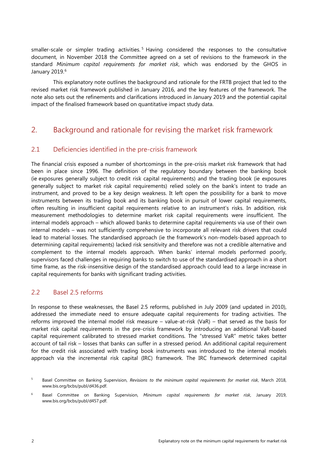smaller-scale or simpler trading activities.<sup>[5](#page-5-3)</sup> Having considered the responses to the consultative document, in November 2018 the Committee agreed on a set of revisions to the framework in the standard *Minimum capital requirements for market risk*, which was endorsed by the GHOS in January 2019. [6](#page-5-4)

This explanatory note outlines the background and rationale for the FRTB project that led to the revised market risk framework published in January 2016, and the key features of the framework. The note also sets out the refinements and clarifications introduced in January 2019 and the potential capital impact of the finalised framework based on quantitative impact study data.

### <span id="page-5-0"></span>2. Background and rationale for revising the market risk framework

#### <span id="page-5-1"></span>2.1 Deficiencies identified in the pre-crisis framework

The financial crisis exposed a number of shortcomings in the pre-crisis market risk framework that had been in place since 1996. The definition of the regulatory boundary between the banking book (ie exposures generally subject to credit risk capital requirements) and the trading book (ie exposures generally subject to market risk capital requirements) relied solely on the bank's intent to trade an instrument, and proved to be a key design weakness. It left open the possibility for a bank to move instruments between its trading book and its banking book in pursuit of lower capital requirements, often resulting in insufficient capital requirements relative to an instrument's risks. In addition, risk measurement methodologies to determine market risk capital requirements were insufficient. The internal models approach – which allowed banks to determine capital requirements via use of their own internal models – was not sufficiently comprehensive to incorporate all relevant risk drivers that could lead to material losses. The standardised approach (ie the framework's non-models-based approach to determining capital requirements) lacked risk sensitivity and therefore was not a credible alternative and complement to the internal models approach. When banks' internal models performed poorly, supervisors faced challenges in requiring banks to switch to use of the standardised approach in a short time frame, as the risk-insensitive design of the standardised approach could lead to a large increase in capital requirements for banks with significant trading activities.

#### <span id="page-5-2"></span>2.2 Basel 2.5 reforms

In response to these weaknesses, the Basel 2.5 reforms, published in July 2009 (and updated in 2010), addressed the immediate need to ensure adequate capital requirements for trading activities. The reforms improved the internal model risk measure – value-at-risk (VaR) – that served as the basis for market risk capital requirements in the pre-crisis framework by introducing an additional VaR-based capital requirement calibrated to stressed market conditions. The "stressed VaR" metric takes better account of tail risk – losses that banks can suffer in a stressed period. An additional capital requirement for the credit risk associated with trading book instruments was introduced to the internal models approach via the incremental risk capital (IRC) framework. The IRC framework determined capital

<span id="page-5-3"></span><sup>5</sup> Basel Committee on Banking Supervision, *Revisions to the minimum capital requirements for market risk*, March 2018, [www.bis.org/bcbs/publ/d436.pdf.](https://www.bis.org/bcbs/publ/d436.pdf)

<span id="page-5-4"></span><sup>6</sup> Basel Committee on Banking Supervision, *Minimum capital requirements for market risk*, January 2019, [www.bis.org/bcbs/publ/d457.pdf.](https://www.bis.org/bcbs/publ/d457.pdf)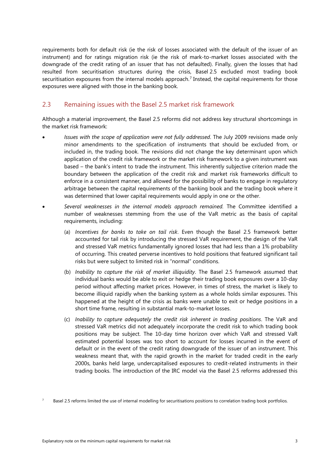requirements both for default risk (ie the risk of losses associated with the default of the issuer of an instrument) and for ratings migration risk (ie the risk of mark-to-market losses associated with the downgrade of the credit rating of an issuer that has not defaulted). Finally, given the losses that had resulted from securitisation structures during the crisis, Basel 2.5 excluded most trading book securitisation exposures from the internal models approach. [7](#page-6-1) Instead, the capital requirements for those exposures were aligned with those in the banking book.

#### <span id="page-6-0"></span>2.3 Remaining issues with the Basel 2.5 market risk framework

Although a material improvement, the Basel 2.5 reforms did not address key structural shortcomings in the market risk framework:

- *Issues with the scope of application were not fully addressed*. The July 2009 revisions made only minor amendments to the specification of instruments that should be excluded from, or included in, the trading book. The revisions did not change the key determinant upon which application of the credit risk framework or the market risk framework to a given instrument was based – the bank's intent to trade the instrument. This inherently subjective criterion made the boundary between the application of the credit risk and market risk frameworks difficult to enforce in a consistent manner, and allowed for the possibility of banks to engage in regulatory arbitrage between the capital requirements of the banking book and the trading book where it was determined that lower capital requirements would apply in one or the other.
- *Several weaknesses in the internal models approach remained.* The Committee identified a number of weaknesses stemming from the use of the VaR metric as the basis of capital requirements, including:
	- (a) *Incentives for banks to take on tail risk*. Even though the Basel 2.5 framework better accounted for tail risk by introducing the stressed VaR requirement, the design of the VaR and stressed VaR metrics fundamentally ignored losses that had less than a 1% probability of occurring. This created perverse incentives to hold positions that featured significant tail risks but were subject to limited risk in "normal" conditions.
	- (b) *Inability to capture the risk of market illiquidity*. The Basel 2.5 framework assumed that individual banks would be able to exit or hedge their trading book exposures over a 10-day period without affecting market prices. However, in times of stress, the market is likely to become illiquid rapidly when the banking system as a whole holds similar exposures. This happened at the height of the crisis as banks were unable to exit or hedge positions in a short time frame, resulting in substantial mark-to-market losses.
	- (c) *Inability to capture adequately the credit risk inherent in trading positions*. The VaR and stressed VaR metrics did not adequately incorporate the credit risk to which trading book positions may be subject. The 10-day time horizon over which VaR and stressed VaR estimated potential losses was too short to account for losses incurred in the event of default or in the event of the credit rating downgrade of the issuer of an instrument. This weakness meant that, with the rapid growth in the market for traded credit in the early 2000s, banks held large, undercapitalised exposures to credit-related instruments in their trading books. The introduction of the IRC model via the Basel 2.5 reforms addressed this

<span id="page-6-1"></span>Basel 2.5 reforms limited the use of internal modelling for securitisations positions to correlation trading book portfolios.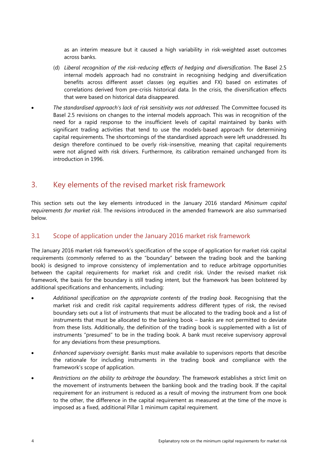as an interim measure but it caused a high variability in risk-weighted asset outcomes across banks.

- (d) *Liberal recognition of the risk-reducing effects of hedging and diversification*. The Basel 2.5 internal models approach had no constraint in recognising hedging and diversification benefits across different asset classes (eg equities and FX) based on estimates of correlations derived from pre-crisis historical data. In the crisis, the diversification effects that were based on historical data disappeared.
- *The standardised approach's lack of risk sensitivity was not addressed.* The Committee focused its Basel 2.5 revisions on changes to the internal models approach. This was in recognition of the need for a rapid response to the insufficient levels of capital maintained by banks with significant trading activities that tend to use the models-based approach for determining capital requirements. The shortcomings of the standardised approach were left unaddressed. Its design therefore continued to be overly risk-insensitive, meaning that capital requirements were not aligned with risk drivers. Furthermore, its calibration remained unchanged from its introduction in 1996.

### <span id="page-7-0"></span>3. Key elements of the revised market risk framework

This section sets out the key elements introduced in the January 2016 standard *Minimum capital requirements for market risk*. The revisions introduced in the amended framework are also summarised below.

#### <span id="page-7-1"></span>3.1 Scope of application under the January 2016 market risk framework

The January 2016 market risk framework's specification of the scope of application for market risk capital requirements (commonly referred to as the "boundary" between the trading book and the banking book) is designed to improve consistency of implementation and to reduce arbitrage opportunities between the capital requirements for market risk and credit risk. Under the revised market risk framework, the basis for the boundary is still trading intent, but the framework has been bolstered by additional specifications and enhancements, including:

- *Additional specification on the appropriate contents of the trading book*. Recognising that the market risk and credit risk capital requirements address different types of risk, the revised boundary sets out a list of instruments that must be allocated to the trading book and a list of instruments that must be allocated to the banking book – banks are not permitted to deviate from these lists. Additionally, the definition of the trading book is supplemented with a list of instruments "presumed" to be in the trading book. A bank must receive supervisory approval for any deviations from these presumptions.
- *Enhanced supervisory oversight*. Banks must make available to supervisors reports that describe the rationale for including instruments in the trading book and compliance with the framework's scope of application.
- *Restrictions on the ability to arbitrage the boundary*. The framework establishes a strict limit on the movement of instruments between the banking book and the trading book. If the capital requirement for an instrument is reduced as a result of moving the instrument from one book to the other, the difference in the capital requirement as measured at the time of the move is imposed as a fixed, additional Pillar 1 minimum capital requirement.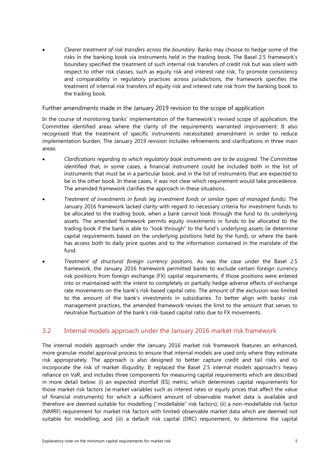• *Clearer treatment of risk transfers across the boundary*. Banks may choose to hedge some of the risks in the banking book via instruments held in the trading book. The Basel 2.5 framework's boundary specified the treatment of such internal risk transfers of credit risk but was silent with respect to other risk classes, such as equity risk and interest rate risk. To promote consistency and comparability in regulatory practices across jurisdictions, the framework specifies the treatment of internal risk transfers of equity risk and interest rate risk from the banking book to the trading book.

#### <span id="page-8-0"></span>Further amendments made in the January 2019 revision to the scope of application

In the course of monitoring banks' implementation of the framework's revised scope of application, the Committee identified areas where the clarity of the requirements warranted improvement. It also recognised that the treatment of specific instruments necessitated amendment in order to reduce implementation burden. The January 2019 revision includes refinements and clarifications in three main areas:

- *Clarifications regarding to which regulatory book instruments are to be assigned.* The Committee identified that, in some cases, a financial instrument could be included both in the list of instruments that must be in a particular book, and in the list of instruments that are expected to be in the other book. In these cases, it was not clear which requirement would take precedence. The amended framework clarifies the approach in these situations.
- *Treatment of investments in funds (eg investment funds or similar types of managed funds).* The January 2016 framework lacked clarity with regard to necessary criteria for investment funds to be allocated to the trading book, when a bank cannot look through the fund to its underlying assets. The amended framework permits equity investments in funds to be allocated to the trading book if the bank is able to "look through" to the fund's underlying assets (ie determine capital requirements based on the underlying positions held by the fund), or where the bank has access both to daily price quotes and to the information contained in the mandate of the fund.
- *Treatment of structural foreign currency positions.* As was the case under the Basel 2.5 framework, the January 2016 framework permitted banks to exclude certain foreign currency risk positions from foreign exchange (FX) capital requirements, if those positions were entered into or maintained with the intent to completely or partially hedge adverse effects of exchange rate movements on the bank's risk-based capital ratio. The amount of the exclusion was limited to the amount of the bank's investments in subsidiaries. To better align with banks' risk management practices, the amended framework revises the limit to the amount that serves to neutralise fluctuation of the bank's risk-based capital ratio due to FX movements.

#### <span id="page-8-1"></span>3.2 Internal models approach under the January 2016 market risk framework

The internal models approach under the January 2016 market risk framework features an enhanced, more granular model approval process to ensure that internal models are used only where they estimate risk appropriately. The approach is also designed to better capture credit and tail risks and to incorporate the risk of market illiquidity. It replaced the Basel 2.5 internal models approach's heavy reliance on VaR, and includes three components for measuring capital requirements which are described in more detail below: (i) an expected shortfall (ES) metric, which determines capital requirements for those market risk factors (ie market variables such as interest rates or equity prices that affect the value of financial instruments) for which a sufficient amount of observable market data is available and therefore are deemed suitable for modelling ("modellable" risk factors); (ii) a non-modellable risk factor (NMRF) requirement for market risk factors with limited observable market data which are deemed not suitable for modelling; and (iii) a default risk capital (DRC) requirement, to determine the capital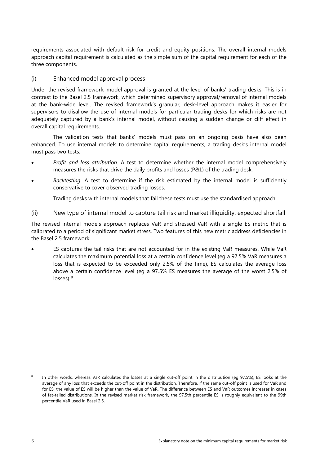requirements associated with default risk for credit and equity positions. The overall internal models approach capital requirement is calculated as the simple sum of the capital requirement for each of the three components.

#### <span id="page-9-0"></span>(i) Enhanced model approval process

Under the revised framework, model approval is granted at the level of banks' trading desks. This is in contrast to the Basel 2.5 framework, which determined supervisory approval/removal of internal models at the bank-wide level. The revised framework's granular, desk-level approach makes it easier for supervisors to disallow the use of internal models for particular trading desks for which risks are not adequately captured by a bank's internal model, without causing a sudden change or cliff effect in overall capital requirements.

The validation tests that banks' models must pass on an ongoing basis have also been enhanced. To use internal models to determine capital requirements, a trading desk's internal model must pass two tests:

- *Profit and loss attribution*. A test to determine whether the internal model comprehensively measures the risks that drive the daily profits and losses (P&L) of the trading desk.
- *Backtesting*. A test to determine if the risk estimated by the internal model is sufficiently conservative to cover observed trading losses.

Trading desks with internal models that fail these tests must use the standardised approach.

<span id="page-9-1"></span>(ii) New type of internal model to capture tail risk and market illiquidity: expected shortfall

The revised internal models approach replaces VaR and stressed VaR with a single ES metric that is calibrated to a period of significant market stress. Two features of this new metric address deficiencies in the Basel 2.5 framework:

• ES captures the tail risks that are not accounted for in the existing VaR measures. While VaR calculates the maximum potential loss at a certain confidence level (eg a 97.5% VaR measures a loss that is expected to be exceeded only 2.5% of the time), ES calculates the average loss above a certain confidence level (eg a 97.5% ES measures the average of the worst 2.5% of losses).<sup>[8](#page-9-2)</sup>

<span id="page-9-2"></span><sup>8</sup> In other words, whereas VaR calculates the losses at a single cut-off point in the distribution (eg 97.5%), ES looks at the average of any loss that exceeds the cut-off point in the distribution. Therefore, if the same cut-off point is used for VaR and for ES, the value of ES will be higher than the value of VaR. The difference between ES and VaR outcomes increases in cases of fat-tailed distributions. In the revised market risk framework, the 97.5th percentile ES is roughly equivalent to the 99th percentile VaR used in Basel 2.5.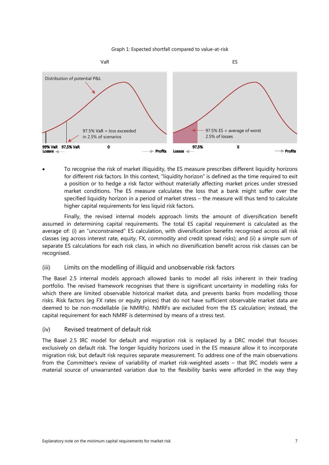



• To recognise the risk of market illiquidity, the ES measure prescribes different liquidity horizons for different risk factors. In this context, "liquidity horizon" is defined as the time required to exit a position or to hedge a risk factor without materially affecting market prices under stressed market conditions. The ES measure calculates the loss that a bank might suffer over the specified liquidity horizon in a period of market stress – the measure will thus tend to calculate higher capital requirements for less liquid risk factors.

Finally, the revised internal models approach limits the amount of diversification benefit assumed in determining capital requirements. The total ES capital requirement is calculated as the average of: (i) an "unconstrained" ES calculation, with diversification benefits recognised across all risk classes (eg across interest rate, equity, FX, commodity and credit spread risks); and (ii) a simple sum of separate ES calculations for each risk class, in which no diversification benefit across risk classes can be recognised.

#### <span id="page-10-0"></span>(iii) Limits on the modelling of illiquid and unobservable risk factors

The Basel 2.5 internal models approach allowed banks to model all risks inherent in their trading portfolio. The revised framework recognises that there is significant uncertainty in modelling risks for which there are limited observable historical market data, and prevents banks from modelling those risks. Risk factors (eg FX rates or equity prices) that do not have sufficient observable market data are deemed to be non-modellable (ie NMRFs). NMRFs are excluded from the ES calculation; instead, the capital requirement for each NMRF is determined by means of a stress test.

<span id="page-10-1"></span>(iv) Revised treatment of default risk

The Basel 2.5 IRC model for default and migration risk is replaced by a DRC model that focuses exclusively on default risk. The longer liquidity horizons used in the ES measure allow it to incorporate migration risk, but default risk requires separate measurement. To address one of the main observations from the Committee's review of variability of market risk-weighted assets – that IRC models were a material source of unwarranted variation due to the flexibility banks were afforded in the way they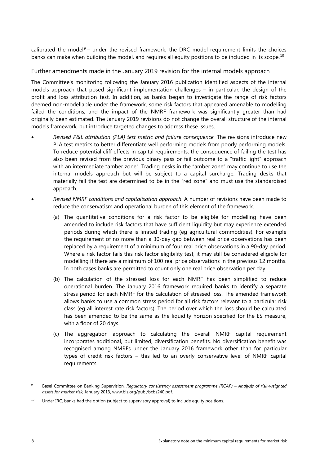calibrated the model<sup>[9](#page-11-1)</sup> – under the revised framework, the DRC model requirement limits the choices banks can make when building the model, and requires all equity positions to be included in its scope.<sup>[10](#page-11-2)</sup>

<span id="page-11-0"></span>Further amendments made in the January 2019 revision for the internal models approach

The Committee's monitoring following the January 2016 publication identified aspects of the internal models approach that posed significant implementation challenges – in particular, the design of the profit and loss attribution test. In addition, as banks began to investigate the range of risk factors deemed non-modellable under the framework, some risk factors that appeared amenable to modelling failed the conditions, and the impact of the NMRF framework was significantly greater than had originally been estimated. The January 2019 revisions do not change the overall structure of the internal models framework, but introduce targeted changes to address these issues.

- *Revised P&L attribution (PLA) test metric and failure consequence.* The revisions introduce new PLA test metrics to better differentiate well performing models from poorly performing models. To reduce potential cliff effects in capital requirements, the consequence of failing the test has also been revised from the previous binary pass or fail outcome to a "traffic light" approach with an intermediate "amber zone". Trading desks in the "amber zone" may continue to use the internal models approach but will be subject to a capital surcharge. Trading desks that materially fail the test are determined to be in the "red zone" and must use the standardised approach.
- *Revised NMRF conditions and capitalisation approach*. A number of revisions have been made to reduce the conservatism and operational burden of this element of the framework.
	- (a) The quantitative conditions for a risk factor to be eligible for modelling have been amended to include risk factors that have sufficient liquidity but may experience extended periods during which there is limited trading (eg agricultural commodities). For example the requirement of no more than a 30-day gap between real price observations has been replaced by a requirement of a minimum of four real price observations in a 90-day period. Where a risk factor fails this risk factor eligibility test, it may still be considered eligible for modelling if there are a minimum of 100 real price observations in the previous 12 months. In both cases banks are permitted to count only one real price observation per day.
	- (b) The calculation of the stressed loss for each NMRF has been simplified to reduce operational burden. The January 2016 framework required banks to identify a separate stress period for each NMRF for the calculation of stressed loss. The amended framework allows banks to use a common stress period for all risk factors relevant to a particular risk class (eg all interest rate risk factors). The period over which the loss should be calculated has been amended to be the same as the liquidity horizon specified for the ES measure, with a floor of 20 days.
	- (c) The aggregation approach to calculating the overall NMRF capital requirement incorporates additional, but limited, diversification benefits. No diversification benefit was recognised among NMRFs under the January 2016 framework other than for particular types of credit risk factors – this led to an overly conservative level of NMRF capital requirements.

<span id="page-11-1"></span><sup>9</sup> Basel Committee on Banking Supervision, *Regulatory consistency assessment programme (RCAP)* – *Analysis of risk-weighted assets for market risk*, January 2013[, www.bis.org/publ/bcbs240.pdf.](https://www.bis.org/publ/bcbs240.pdf)

<span id="page-11-2"></span> $10$  Under IRC, banks had the option (subject to supervisory approval) to include equity positions.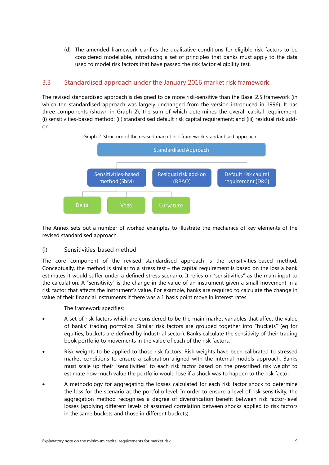(d) The amended framework clarifies the qualitative conditions for eligible risk factors to be considered modellable, introducing a set of principles that banks must apply to the data used to model risk factors that have passed the risk factor eligibility test.

#### <span id="page-12-0"></span>3.3 Standardised approach under the January 2016 market risk framework

The revised standardised approach is designed to be more risk-sensitive than the Basel 2.5 framework (in which the standardised approach was largely unchanged from the version introduced in 1996). It has three components (shown in Graph 2), the sum of which determines the overall capital requirement: (i) sensitivities-based method; (ii) standardised default risk capital requirement; and (iii) residual risk addon.



Graph 2: Structure of the revised market risk framework standardised approach

The Annex sets out a number of worked examples to illustrate the mechanics of key elements of the revised standardised approach.

#### <span id="page-12-1"></span>(i) Sensitivities-based method

The core component of the revised standardised approach is the sensitivities-based method*.* Conceptually, the method is similar to a stress test – the capital requirement is based on the loss a bank estimates it would suffer under a defined stress scenario. It relies on "sensitivities" as the main input to the calculation. A "sensitivity" is the change in the value of an instrument given a small movement in a risk factor that affects the instrument's value. For example, banks are required to calculate the change in value of their financial instruments if there was a 1 basis point move in interest rates.

The framework specifies:

- A set of risk factors which are considered to be the main market variables that affect the value of banks' trading portfolios. Similar risk factors are grouped together into "buckets" (eg for equities, buckets are defined by industrial sector). Banks calculate the sensitivity of their trading book portfolio to movements in the value of each of the risk factors.
- Risk weights to be applied to those risk factors. Risk weights have been calibrated to stressed market conditions to ensure a calibration aligned with the internal models approach. Banks must scale up their "sensitivities" to each risk factor based on the prescribed risk weight to estimate how much value the portfolio would lose if a shock was to happen to the risk factor.
- A methodology for aggregating the losses calculated for each risk factor shock to determine the loss for the scenario at the portfolio level. In order to ensure a level of risk sensitivity, the aggregation method recognises a degree of diversification benefit between risk factor-level losses (applying different levels of assumed correlation between shocks applied to risk factors in the same buckets and those in different buckets).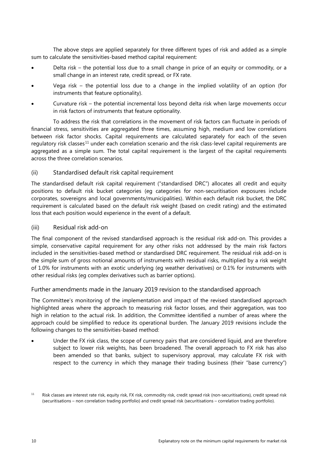The above steps are applied separately for three different types of risk and added as a simple sum to calculate the sensitivities-based method capital requirement:

- Delta risk the potential loss due to a small change in price of an equity or commodity, or a small change in an interest rate, credit spread, or FX rate.
- Vega risk  $-$  the potential loss due to a change in the implied volatility of an option (for instruments that feature optionality).
- Curvature risk the potential incremental loss beyond delta risk when large movements occur in risk factors of instruments that feature optionality.

To address the risk that correlations in the movement of risk factors can fluctuate in periods of financial stress, sensitivities are aggregated three times, assuming high, medium and low correlations between risk factor shocks. Capital requirements are calculated separately for each of the seven regulatory risk classes<sup>[11](#page-13-3)</sup> under each correlation scenario and the risk class-level capital requirements are aggregated as a simple sum. The total capital requirement is the largest of the capital requirements across the three correlation scenarios.

#### <span id="page-13-0"></span>(ii) Standardised default risk capital requirement

The standardised default risk capital requirement ("standardised DRC") allocates all credit and equity positions to default risk bucket categories (eg categories for non-securitisation exposures include corporates, sovereigns and local governments/municipalities). Within each default risk bucket, the DRC requirement is calculated based on the default risk weight (based on credit rating) and the estimated loss that each position would experience in the event of a default.

<span id="page-13-1"></span>(iii) Residual risk add-on

The final component of the revised standardised approach is the residual risk add-on*.* This provides a simple, conservative capital requirement for any other risks not addressed by the main risk factors included in the sensitivities-based method or standardised DRC requirement. The residual risk add-on is the simple sum of gross notional amounts of instruments with residual risks, multiplied by a risk weight of 1.0% for instruments with an exotic underlying (eg weather derivatives) or 0.1% for instruments with other residual risks (eg complex derivatives such as barrier options).

<span id="page-13-2"></span>Further amendments made in the January 2019 revision to the standardised approach

The Committee's monitoring of the implementation and impact of the revised standardised approach highlighted areas where the approach to measuring risk factor losses, and their aggregation, was too high in relation to the actual risk. In addition, the Committee identified a number of areas where the approach could be simplified to reduce its operational burden. The January 2019 revisions include the following changes to the sensitivities-based method:

Under the FX risk class, the scope of currency pairs that are considered liquid, and are therefore subject to lower risk weights, has been broadened. The overall approach to FX risk has also been amended so that banks, subject to supervisory approval, may calculate FX risk with respect to the currency in which they manage their trading business (their "base currency")

<span id="page-13-3"></span><sup>&</sup>lt;sup>11</sup> Risk classes are interest rate risk, equity risk, FX risk, commodity risk, credit spread risk (non-securitisations), credit spread risk (securitisations – non correlation trading portfolio) and credit spread risk (securitisations – correlation trading portfolio).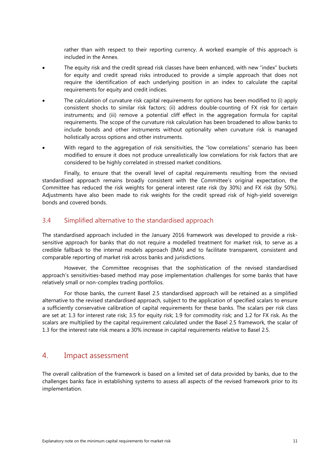rather than with respect to their reporting currency. A worked example of this approach is included in the Annex.

- The equity risk and the credit spread risk classes have been enhanced, with new "index" buckets for equity and credit spread risks introduced to provide a simple approach that does not require the identification of each underlying position in an index to calculate the capital requirements for equity and credit indices.
- The calculation of curvature risk capital requirements for options has been modified to (i) apply consistent shocks to similar risk factors; (ii) address double-counting of FX risk for certain instruments; and (iii) remove a potential cliff effect in the aggregation formula for capital requirements. The scope of the curvature risk calculation has been broadened to allow banks to include bonds and other instruments without optionality when curvature risk is managed holistically across options and other instruments.
- With regard to the aggregation of risk sensitivities, the "low correlations" scenario has been modified to ensure it does not produce unrealistically low correlations for risk factors that are considered to be highly correlated in stressed market conditions.

Finally, to ensure that the overall level of capital requirements resulting from the revised standardised approach remains broadly consistent with the Committee's original expectation, the Committee has reduced the risk weights for general interest rate risk (by 30%) and FX risk (by 50%). Adjustments have also been made to risk weights for the credit spread risk of high-yield sovereign bonds and covered bonds.

#### <span id="page-14-0"></span>3.4 Simplified alternative to the standardised approach

The standardised approach included in the January 2016 framework was developed to provide a risksensitive approach for banks that do not require a modelled treatment for market risk, to serve as a credible fallback to the internal models approach (IMA) and to facilitate transparent, consistent and comparable reporting of market risk across banks and jurisdictions.

However, the Committee recognises that the sophistication of the revised standardised approach's sensitivities-based method may pose implementation challenges for some banks that have relatively small or non-complex trading portfolios.

For those banks, the current Basel 2.5 standardised approach will be retained as a simplified alternative to the revised standardised approach, subject to the application of specified scalars to ensure a sufficiently conservative calibration of capital requirements for these banks. The scalars per risk class are set at: 1.3 for interest rate risk; 3.5 for equity risk; 1.9 for commodity risk; and 1.2 for FX risk. As the scalars are multiplied by the capital requirement calculated under the Basel 2.5 framework, the scalar of 1.3 for the interest rate risk means a 30% increase in capital requirements relative to Basel 2.5.

#### <span id="page-14-1"></span>4. Impact assessment

The overall calibration of the framework is based on a limited set of data provided by banks, due to the challenges banks face in establishing systems to assess all aspects of the revised framework prior to its implementation.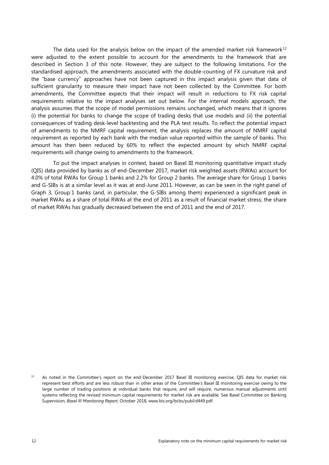The data used for the analysis below on the impact of the amended market risk framework<sup>[12](#page-15-0)</sup> were adjusted to the extent possible to account for the amendments to the framework that are described in Section 3 of this note. However, they are subject to the following limitations. For the standardised approach, the amendments associated with the double-counting of FX curvature risk and the "base currency" approaches have not been captured in this impact analysis given that data of sufficient granularity to measure their impact have not been collected by the Committee. For both amendments, the Committee expects that their impact will result in reductions to FX risk capital requirements relative to the impact analyses set out below. For the internal models approach, the analysis assumes that the scope of model permissions remains unchanged, which means that it ignores (i) the potential for banks to change the scope of trading desks that use models and (ii) the potential consequences of trading desk-level backtesting and the PLA test results. To reflect the potential impact of amendments to the NMRF capital requirement, the analysis replaces the amount of NMRF capital requirement as reported by each bank with the median value reported within the sample of banks. This amount has then been reduced by 60% to reflect the expected amount by which NMRF capital requirements will change owing to amendments to the framework.

To put the impact analyses in context, based on Basel III monitoring quantitative impact study (QIS) data provided by banks as of end-December 2017, market risk weighted assets (RWAs) account for 4.0% of total RWAs for Group 1 banks and 2.2% for Group 2 banks. The average share for Group 1 banks and G-SIBs is at a similar level as it was at end-June 2011. However, as can be seen in the right panel of Graph 3, Group 1 banks (and, in particular, the G-SIBs among them) experienced a significant peak in market RWAs as a share of total RWAs at the end of 2011 as a result of financial market stress; the share of market RWAs has gradually decreased between the end of 2011 and the end of 2017.

<span id="page-15-0"></span>As noted in the Committee's report on the end-December 2017 Basel III monitoring exercise, QIS data for market risk represent best efforts and are less robust than in other areas of the Committee's Basel III monitoring exercise owing to the large number of trading positions at individual banks that require, and will require, numerous manual adjustments until systems reflecting the revised minimum capital requirements for market risk are available. See Basel Committee on Banking Supervision, *Basel III Monitoring Report*, October 2018, [www.bis.org/bcbs/publ/d449.pdf.](https://www.bis.org/bcbs/publ/d449.pdf)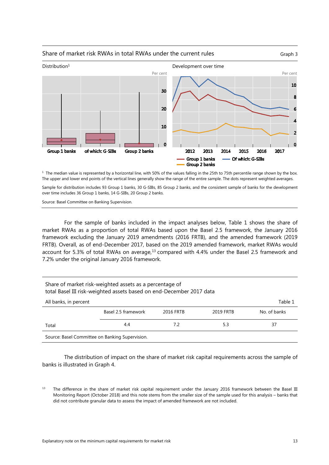

#### Share of market risk RWAs in total RWAs under the current rules Graph 3

 $1$  The median value is represented by a horizontal line, with 50% of the values falling in the 25th to 75th percentile range shown by the box. The upper and lower end points of the vertical lines generally show the range of the entire sample. The dots represent weighted averages.

Sample for distribution includes 93 Group 1 banks, 30 G-SIBs, 85 Group 2 banks, and the consistent sample of banks for the development over time includes 36 Group 1 banks, 14 G-SIBs, 20 Group 2 banks.

Source: Basel Committee on Banking Supervision.

For the sample of banks included in the impact analyses below, Table 1 shows the share of market RWAs as a proportion of total RWAs based upon the Basel 2.5 framework, the January 2016 framework excluding the January 2019 amendments (2016 FRTB), and the amended framework (2019 FRTB). Overall, as of end-December 2017, based on the 2019 amended framework, market RWAs would account for 5.3% of total RWAs on average, $^{13}$  $^{13}$  $^{13}$  compared with 4.4% under the Basel 2.5 framework and 7.2% under the original January 2016 framework.

| Share of market risk-weighted assets as a percentage of<br>total Basel III risk-weighted assets based on end-December 2017 data |                     |           |           |              |  |  |  |
|---------------------------------------------------------------------------------------------------------------------------------|---------------------|-----------|-----------|--------------|--|--|--|
| All banks, in percent<br>Table 1                                                                                                |                     |           |           |              |  |  |  |
|                                                                                                                                 | Basel 2.5 framework | 2016 FRTB | 2019 FRTB | No. of banks |  |  |  |
| Total                                                                                                                           | 4.4                 | 7.2       | 5.3       | 37           |  |  |  |
| Source: Basel Committee on Banking Supervision.                                                                                 |                     |           |           |              |  |  |  |

The distribution of impact on the share of market risk capital requirements across the sample of banks is illustrated in Graph 4.

<span id="page-16-0"></span><sup>13</sup> The difference in the share of market risk capital requirement under the January 2016 framework between the Basel III Monitoring Report (October 2018) and this note stems from the smaller size of the sample used for this analysis – banks that did not contribute granular data to assess the impact of amended framework are not included.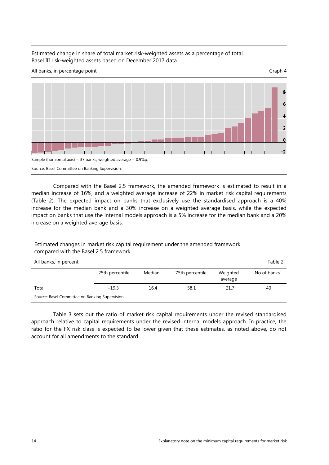#### Estimated change in share of total market risk-weighted assets as a percentage of total Basel III risk-weighted assets based on December 2017 data



Compared with the Basel 2.5 framework, the amended framework is estimated to result in a median increase of 16%, and a weighted average increase of 22% in market risk capital requirements (Table 2). The expected impact on banks that exclusively use the standardised approach is a 40% increase for the median bank and a 30% increase on a weighted average basis, while the expected impact on banks that use the internal models approach is a 5% increase for the median bank and a 20% increase on a weighted average basis.

#### Estimated changes in market risk capital requirement under the amended framework compared with the Basel 2.5 framework

| All banks, in percent                           |                 |        |                 |                     | Table 2     |  |
|-------------------------------------------------|-----------------|--------|-----------------|---------------------|-------------|--|
|                                                 | 25th percentile | Median | 75th percentile | Weighted<br>average | No of banks |  |
| Total                                           | $-19.3$         | 16.4   | 58.1            | 21.7                | 40          |  |
| Source: Basel Committee on Banking Supervision. |                 |        |                 |                     |             |  |

Table 3 sets out the ratio of market risk capital requirements under the revised standardised approach relative to capital requirements under the revised internal models approach. In practice, the ratio for the FX risk class is expected to be lower given that these estimates, as noted above, do not account for all amendments to the standard.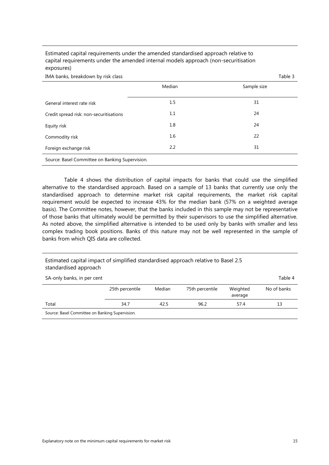| IMA banks, breakdown by risk class              |        | Table 3     |
|-------------------------------------------------|--------|-------------|
|                                                 | Median | Sample size |
| General interest rate risk                      | 1.5    | 31          |
| Credit spread risk: non-securitisations         | 1.1    | 24          |
| Equity risk                                     | 1.8    | 24          |
| Commodity risk                                  | 1.6    | 22          |
| Foreign exchange risk                           | 2.2    | 31          |
| Source: Basel Committee on Banking Supervision. |        |             |

Estimated capital requirements under the amended standardised approach relative to capital requirements under the amended internal models approach (non-securitisation exposures)

Table 4 shows the distribution of capital impacts for banks that could use the simplified alternative to the standardised approach. Based on a sample of 13 banks that currently use only the standardised approach to determine market risk capital requirements, the market risk capital requirement would be expected to increase 43% for the median bank (57% on a weighted average basis). The Committee notes, however, that the banks included in this sample may not be representative of those banks that ultimately would be permitted by their supervisors to use the simplified alternative. As noted above, the simplified alternative is intended to be used only by banks with smaller and less complex trading book positions. Banks of this nature may not be well represented in the sample of banks from which QIS data are collected.

#### Estimated capital impact of simplified standardised approach relative to Basel 2.5 standardised approach

| SA-only banks, in per cent                      |                 |        |                 |                     | Table 4     |
|-------------------------------------------------|-----------------|--------|-----------------|---------------------|-------------|
|                                                 | 25th percentile | Median | 75th percentile | Weighted<br>average | No of banks |
| Total                                           | 34.7            | 42.5   | 96.2            | 57.4                | 13          |
| Source: Basel Committee on Banking Supervision. |                 |        |                 |                     |             |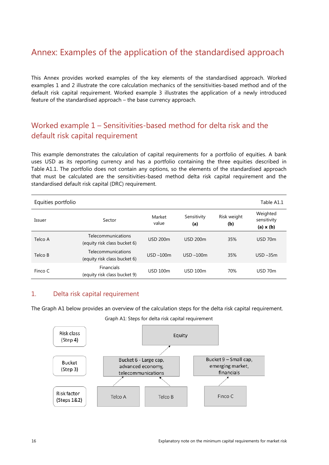# <span id="page-19-0"></span>Annex: Examples of the application of the standardised approach

This Annex provides worked examples of the key elements of the standardised approach. Worked examples 1 and 2 illustrate the core calculation mechanics of the sensitivities-based method and of the default risk capital requirement. Worked example 3 illustrates the application of a newly introduced feature of the standardised approach – the base currency approach.

# <span id="page-19-1"></span>Worked example 1 – Sensitivities-based method for delta risk and the default risk capital requirement

This example demonstrates the calculation of capital requirements for a portfolio of equities. A bank uses USD as its reporting currency and has a portfolio containing the three equities described in Table A1.1. The portfolio does not contain any options, so the elements of the standardised approach that must be calculated are the sensitivities-based method delta risk capital requirement and the standardised default risk capital (DRC) requirement.

| Equities portfolio |                                                    |                 |                    |                    |                                             |
|--------------------|----------------------------------------------------|-----------------|--------------------|--------------------|---------------------------------------------|
| Issuer             | Sector                                             | Market<br>value | Sensitivity<br>(a) | Risk weight<br>(b) | Weighted<br>sensitivity<br>$(a) \times (b)$ |
| Telco A            | Telecommunications<br>(equity risk class bucket 6) | <b>USD 200m</b> | <b>USD 200m</b>    | 35%                | $USD$ 70 $m$                                |
| Telco B            | Telecommunications<br>(equity risk class bucket 6) | $USD - 100m$    | $USD - 100m$       | 35%                | $USD - 35m$                                 |
| Finco C            | <b>Financials</b><br>(equity risk class bucket 9)  | <b>USD 100m</b> | <b>USD 100m</b>    | 70%                | USD 70m                                     |

#### <span id="page-19-2"></span>1. Delta risk capital requirement

The Graph A1 below provides an overview of the calculation steps for the delta risk capital requirement.

Graph A1: Steps for delta risk capital requirement

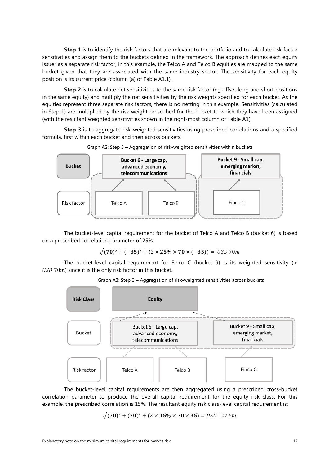**Step 1** is to identify the risk factors that are relevant to the portfolio and to calculate risk factor sensitivities and assign them to the buckets defined in the framework. The approach defines each equity issuer as a separate risk factor; in this example, the Telco A and Telco B equities are mapped to the same bucket given that they are associated with the same industry sector. The sensitivity for each equity position is its current price (column (a) of Table A1.1).

**Step 2** is to calculate net sensitivities to the same risk factor (eg offset long and short positions in the same equity) and multiply the net sensitivities by the risk weights specified for each bucket. As the equities represent three separate risk factors, there is no netting in this example. Sensitivities (calculated in Step 1) are multiplied by the risk weight prescribed for the bucket to which they have been assigned (with the resultant weighted sensitivities shown in the right-most column of Table A1).

**Step 3** is to aggregate risk-weighted sensitivities using prescribed correlations and a specified formula, first within each bucket and then across buckets.



Graph A2: Step 3 – Aggregation of risk-weighted sensitivities within buckets

The bucket-level capital requirement for the bucket of Telco A and Telco B (bucket 6) is based on a prescribed correlation parameter of 25%:

$$
\sqrt{(70)^2 + (-35)^2 + (2 \times 25\% \times 70 \times (-35))} = \text{ USD 70m}
$$

The bucket-level capital requirement for Finco C (bucket 9) is its weighted sensitivity (ie  $USD$  70 $m$ ) since it is the only risk factor in this bucket.

Graph A3: Step 3 – Aggregation of risk-weighted sensitivities across buckets



The bucket-level capital requirements are then aggregated using a prescribed cross-bucket correlation parameter to produce the overall capital requirement for the equity risk class. For this example, the prescribed correlation is 15%. The resultant equity risk class-level capital requirement is:

 $\sqrt{(70)^2 + (70)^2 + (2 \times 15\% \times 70 \times 35)} =$  USD 102.6m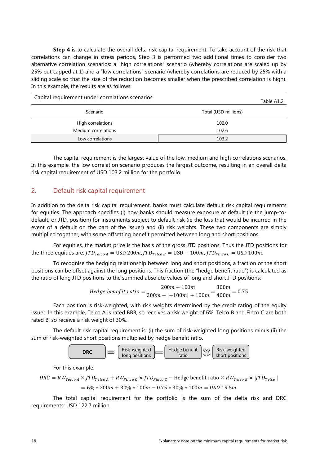**Step 4** is to calculate the overall delta risk capital requirement. To take account of the risk that correlations can change in stress periods, Step 3 is performed two additional times to consider two alternative correlation scenarios: a "high correlations" scenario (whereby correlations are scaled up by 25% but capped at 1) and a "low correlations" scenario (whereby correlations are reduced by 25% with a sliding scale so that the size of the reduction becomes smaller when the prescribed correlation is high). In this example, the results are as follows:

| Capital requirement under correlations scenarios |                      |  |  |  |
|--------------------------------------------------|----------------------|--|--|--|
| Scenario                                         | Total (USD millions) |  |  |  |
| High correlations                                | 102.0                |  |  |  |
| Medium correlations                              | 102.6                |  |  |  |
| Low correlations                                 | 103.2                |  |  |  |

The capital requirement is the largest value of the low, medium and high correlations scenarios. In this example, the low correlation scenario produces the largest outcome, resulting in an overall delta risk capital requirement of USD 103.2 million for the portfolio.

#### <span id="page-21-0"></span>2. Default risk capital requirement

In addition to the delta risk capital requirement, banks must calculate default risk capital requirements for equities. The approach specifies (i) how banks should measure exposure at default (ie the jump-todefault, or JTD, position) for instruments subject to default risk (ie the loss that would be incurred in the event of a default on the part of the issuer) and (ii) risk weights. These two components are simply multiplied together, with some offsetting benefit permitted between long and short positions.

For equities, the market price is the basis of the gross JTD positions. Thus the JTD positions for the three equities are:  $JTD_{Teico A} =$  USD 200m,  $JTD_{Teico B} =$  USD  $-$  100m,  $JTD_{Finco C} =$  USD 100m.

To recognise the hedging relationship between long and short positions, a fraction of the short positions can be offset against the long positions. This fraction (the "hedge benefit ratio") is calculated as the ratio of long JTD positions to the summed absolute values of long and short JTD positions:

Hedge benefit ratio = 
$$
\frac{200m + 100m}{200m + |-100m| + 100m} = \frac{300m}{400m} = 0.75
$$

Each position is risk-weighted, with risk weights determined by the credit rating of the equity issuer. In this example, Telco A is rated BBB, so receives a risk weight of 6%. Telco B and Finco C are both rated B, so receive a risk weight of 30%.

The default risk capital requirement is: (i) the sum of risk-weighted long positions minus (ii) the sum of risk-weighted short positions multiplied by hedge benefit ratio.



For this example:

$$
DRC = RW_{Teico\ A} \times JTD_{Teico\ A} + RW_{Finco\ C} \times JTD_{Finco\ C} - \text{Hedge benefit ratio} \times RW_{Telico\ B} \times \left| JTD_{Telico} \right|
$$

$$
= 6\% * 200m + 30\% * 100m - 0.75 * 30\% * 100m = USD\ 19.5m
$$

The total capital requirement for the portfolio is the sum of the delta risk and DRC requirements: USD 122.7 million.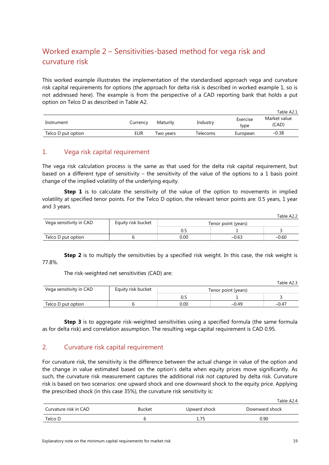# <span id="page-22-0"></span>Worked example 2 – Sensitivities-based method for vega risk and curvature risk

This worked example illustrates the implementation of the standardised approach vega and curvature risk capital requirements for options (the approach for delta risk is described in worked example 1, so is not addressed here). The example is from the perspective of a CAD reporting bank that holds a put option on Telco D as described in Table A2.

|                    |          |           |          |                  | Table A2.1            |
|--------------------|----------|-----------|----------|------------------|-----------------------|
| Instrument         | Currency | Maturity  | Industry | Exercise<br>type | Market value<br>(CAD) |
| Telco D put option | EUR      | Two years | Telecoms | European         | $-0.38$               |

#### <span id="page-22-1"></span>1. Vega risk capital requirement

The vega risk calculation process is the same as that used for the delta risk capital requirement, but based on a different type of sensitivity – the sensitivity of the value of the options to a 1 basis point change of the implied volatility of the underlying equity.

**Step 1** is to calculate the sensitivity of the value of the option to movements in implied volatility at specified tenor points. For the Telco D option, the relevant tenor points are: 0.5 years, 1 year and 3 years.

|                         |                    |                     |         | Table A2.2 |
|-------------------------|--------------------|---------------------|---------|------------|
| Vega sensitivity in CAD | Equity risk bucket | Tenor point (years) |         |            |
|                         |                    |                     |         |            |
| Telco D put option      |                    | 0.00                | $-0.63$ | $-0.60$    |

**Step 2** is to multiply the sensitivities by a specified risk weight. In this case, the risk weight is 77.8%.

The risk-weighted net sensitivities (CAD) are:

Table A2.3

| Vega sensitivity in CAD | Equity risk bucket | Tenor point (years) |         |            |
|-------------------------|--------------------|---------------------|---------|------------|
|                         |                    |                     |         |            |
| Telco D put option      |                    | 0.00                | $-0.49$ | $-0.4^{-}$ |

**Step 3** is to aggregate risk-weighted sensitivities using a specified formula (the same formula as for delta risk) and correlation assumption. The resulting vega capital requirement is CAD 0.95.

#### <span id="page-22-2"></span>2. Curvature risk capital requirement

For curvature risk, the sensitivity is the difference between the actual change in value of the option and the change in value estimated based on the option's delta when equity prices move significantly. As such, the curvature risk measurement captures the additional risk not captured by delta risk. Curvature risk is based on two scenarios: one upward shock and one downward shock to the equity price. Applying the prescribed shock (in this case 35%), the curvature risk sensitivity is:

|                       |        |              | Table A2.4     |
|-----------------------|--------|--------------|----------------|
| Curvature risk in CAD | Bucket | Upward shock | Downward shock |
| Telco D               |        |              | 0.90           |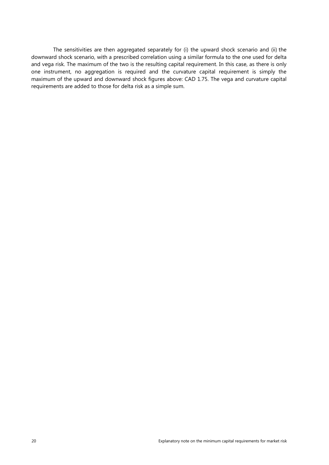The sensitivities are then aggregated separately for (i) the upward shock scenario and (ii) the downward shock scenario, with a prescribed correlation using a similar formula to the one used for delta and vega risk. The maximum of the two is the resulting capital requirement. In this case, as there is only one instrument, no aggregation is required and the curvature capital requirement is simply the maximum of the upward and downward shock figures above: CAD 1.75. The vega and curvature capital requirements are added to those for delta risk as a simple sum.